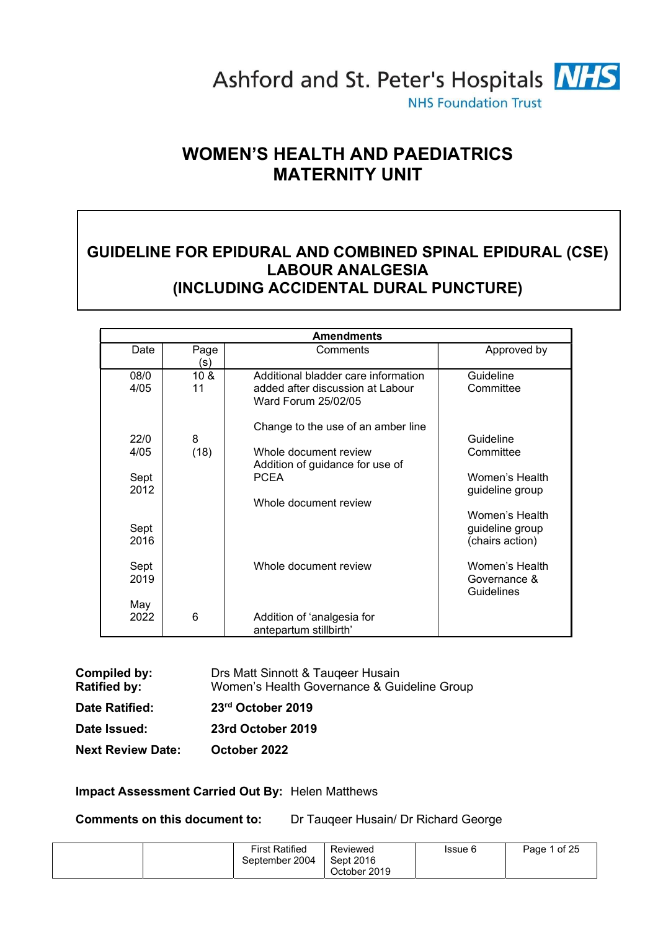

# WOMEN'S HEALTH AND PAEDIATRICS MATERNITY UNIT

# GUIDELINE FOR EPIDURAL AND COMBINED SPINAL EPIDURAL (CSE) LABOUR ANALGESIA (INCLUDING ACCIDENTAL DURAL PUNCTURE)

|              |                       | <b>Amendments</b>                                                                              |                                                      |
|--------------|-----------------------|------------------------------------------------------------------------------------------------|------------------------------------------------------|
| Date         | Page<br>(s)           | Comments                                                                                       | Approved by                                          |
| 08/0<br>4/05 | 10 <sub>8</sub><br>11 | Additional bladder care information<br>added after discussion at Labour<br>Ward Forum 25/02/05 | Guideline<br>Committee                               |
| 22/0<br>4/05 | 8<br>(18)             | Change to the use of an amber line<br>Whole document review                                    | Guideline<br>Committee                               |
| Sept<br>2012 |                       | Addition of guidance for use of<br><b>PCEA</b>                                                 | Women's Health<br>guideline group                    |
| Sept<br>2016 |                       | Whole document review                                                                          | Women's Health<br>guideline group<br>(chairs action) |
| Sept<br>2019 |                       | Whole document review                                                                          | Women's Health<br>Governance &<br>Guidelines         |
| May<br>2022  | 6                     | Addition of 'analgesia for<br>antepartum stillbirth'                                           |                                                      |

| Compiled by:<br><b>Ratified by:</b> | Drs Matt Sinnott & Taugeer Husain<br>Women's Health Governance & Guideline Group |
|-------------------------------------|----------------------------------------------------------------------------------|
| <b>Date Ratified:</b>               | 23rd October 2019                                                                |
| Date Issued:                        | 23rd October 2019                                                                |
| <b>Next Review Date:</b>            | October 2022                                                                     |

#### Impact Assessment Carried Out By: Helen Matthews

Comments on this document to: Dr Tauqeer Husain/ Dr Richard George

| <b>First Ratified</b><br>September 2004 | Reviewed<br>Sept 2016<br>October 2019 | Issue 6 | Page 1 of 25 |
|-----------------------------------------|---------------------------------------|---------|--------------|
|-----------------------------------------|---------------------------------------|---------|--------------|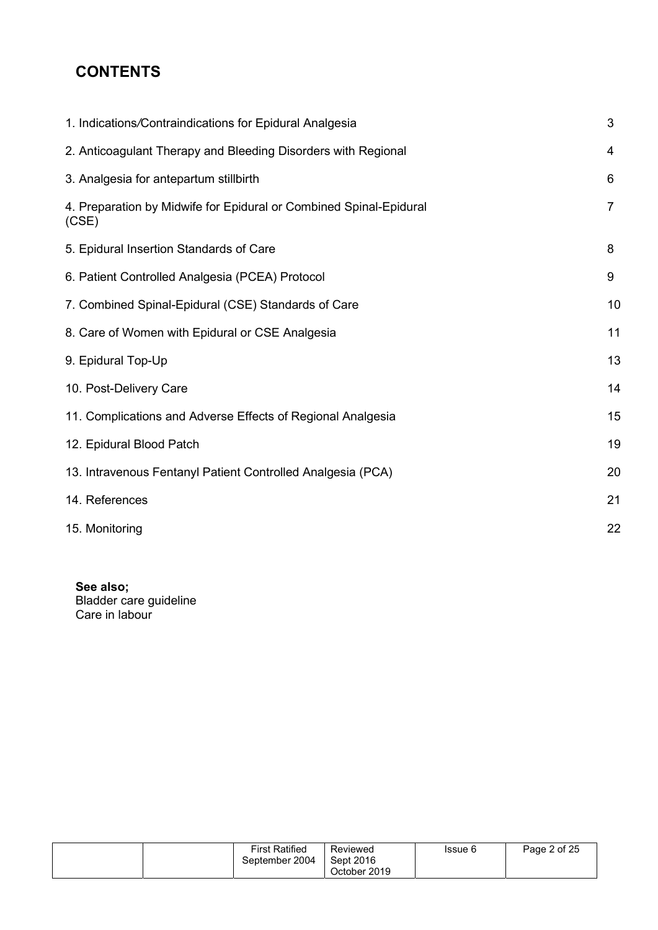# **CONTENTS**

| 1. Indications/Contraindications for Epidural Analgesia                     | 3              |
|-----------------------------------------------------------------------------|----------------|
| 2. Anticoagulant Therapy and Bleeding Disorders with Regional               | 4              |
| 3. Analgesia for antepartum stillbirth                                      | 6              |
| 4. Preparation by Midwife for Epidural or Combined Spinal-Epidural<br>(CSE) | $\overline{7}$ |
| 5. Epidural Insertion Standards of Care                                     | 8              |
| 6. Patient Controlled Analgesia (PCEA) Protocol                             | 9              |
| 7. Combined Spinal-Epidural (CSE) Standards of Care                         | 10             |
| 8. Care of Women with Epidural or CSE Analgesia                             | 11             |
| 9. Epidural Top-Up                                                          | 13             |
| 10. Post-Delivery Care                                                      | 14             |
| 11. Complications and Adverse Effects of Regional Analgesia                 | 15             |
| 12. Epidural Blood Patch                                                    | 19             |
| 13. Intravenous Fentanyl Patient Controlled Analgesia (PCA)                 | 20             |
| 14. References                                                              | 21             |
| 15. Monitoring                                                              | 22             |

See also; Bladder care guideline Care in labour

|  | <b>First Ratified</b> | Reviewed     | Issue 6 | Page 2 of 25 |
|--|-----------------------|--------------|---------|--------------|
|  | September 2004        | Sept 2016    |         |              |
|  |                       | October 2019 |         |              |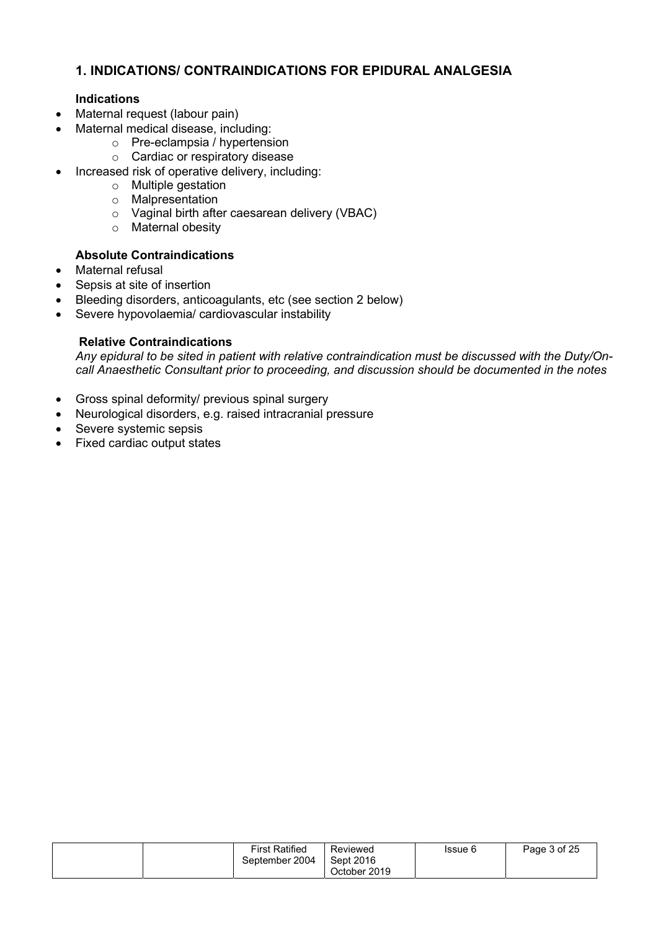## 1. INDICATIONS/ CONTRAINDICATIONS FOR EPIDURAL ANALGESIA

### Indications

- Maternal request (labour pain)
- Maternal medical disease, including:
	- o Pre-eclampsia / hypertension
	- o Cardiac or respiratory disease
- Increased risk of operative delivery, including:
	- o Multiple gestation
	- o Malpresentation
	- o Vaginal birth after caesarean delivery (VBAC)
	- o Maternal obesity

#### Absolute Contraindications

- Maternal refusal
- Sepsis at site of insertion
- Bleeding disorders, anticoagulants, etc (see section 2 below)
- Severe hypovolaemia/ cardiovascular instability

#### Relative Contraindications

Any epidural to be sited in patient with relative contraindication must be discussed with the Duty/Oncall Anaesthetic Consultant prior to proceeding, and discussion should be documented in the notes

- Gross spinal deformity/ previous spinal surgery
- Neurological disorders, e.g. raised intracranial pressure
- Severe systemic sepsis
- Fixed cardiac output states

|  | <b>First Ratified</b><br>September 2004 | Reviewed<br>Sept 2016<br>October 2019 | Issue 6 | Page 3 of 25 |
|--|-----------------------------------------|---------------------------------------|---------|--------------|
|--|-----------------------------------------|---------------------------------------|---------|--------------|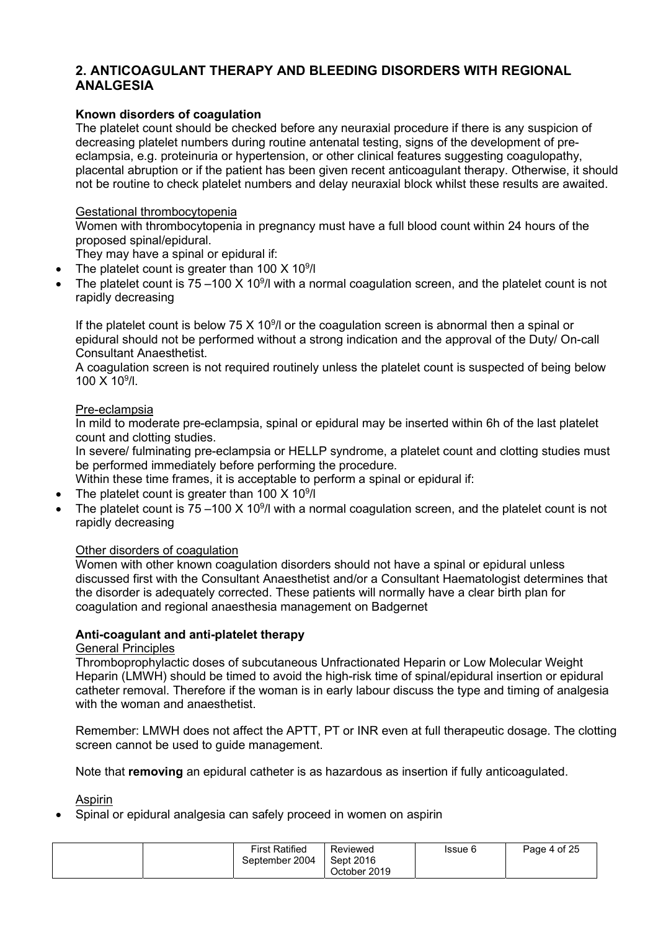## 2. ANTICOAGULANT THERAPY AND BLEEDING DISORDERS WITH REGIONAL ANALGESIA

#### Known disorders of coagulation

The platelet count should be checked before any neuraxial procedure if there is any suspicion of decreasing platelet numbers during routine antenatal testing, signs of the development of preeclampsia, e.g. proteinuria or hypertension, or other clinical features suggesting coagulopathy, placental abruption or if the patient has been given recent anticoagulant therapy. Otherwise, it should not be routine to check platelet numbers and delay neuraxial block whilst these results are awaited.

#### Gestational thrombocytopenia

Women with thrombocytopenia in pregnancy must have a full blood count within 24 hours of the proposed spinal/epidural.

They may have a spinal or epidural if:

- The platelet count is greater than  $100 \times 10^9$ /l
- The platelet count is  $75-100 \times 10^{9}$ /l with a normal coagulation screen, and the platelet count is not rapidly decreasing

If the platelet count is below 75  $\times$  10<sup>9</sup>/l or the coagulation screen is abnormal then a spinal or epidural should not be performed without a strong indication and the approval of the Duty/ On-call Consultant Anaesthetist.

A coagulation screen is not required routinely unless the platelet count is suspected of being below 100 X 10<sup>9</sup> /l.

#### Pre-eclampsia

In mild to moderate pre-eclampsia, spinal or epidural may be inserted within 6h of the last platelet count and clotting studies.

In severe/ fulminating pre-eclampsia or HELLP syndrome, a platelet count and clotting studies must be performed immediately before performing the procedure.

Within these time frames, it is acceptable to perform a spinal or epidural if:

- The platelet count is greater than 100  $\times$  10<sup>9</sup>/l
- The platelet count is 75 100 X 10<sup>9</sup>/l with a normal coagulation screen, and the platelet count is not rapidly decreasing

#### Other disorders of coagulation

Women with other known coagulation disorders should not have a spinal or epidural unless discussed first with the Consultant Anaesthetist and/or a Consultant Haematologist determines that the disorder is adequately corrected. These patients will normally have a clear birth plan for coagulation and regional anaesthesia management on Badgernet

#### Anti-coagulant and anti-platelet therapy

#### General Principles

Thromboprophylactic doses of subcutaneous Unfractionated Heparin or Low Molecular Weight Heparin (LMWH) should be timed to avoid the high-risk time of spinal/epidural insertion or epidural catheter removal. Therefore if the woman is in early labour discuss the type and timing of analgesia with the woman and anaesthetist.

Remember: LMWH does not affect the APTT, PT or INR even at full therapeutic dosage. The clotting screen cannot be used to guide management.

Note that removing an epidural catheter is as hazardous as insertion if fully anticoagulated.

Aspirin

Spinal or epidural analgesia can safely proceed in women on aspirin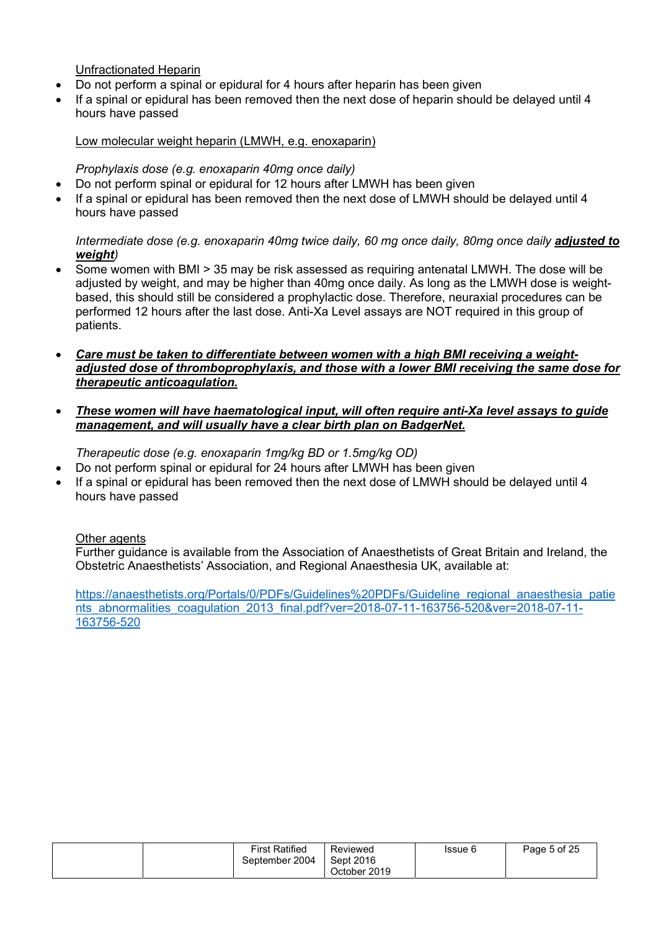Unfractionated Heparin

- Do not perform a spinal or epidural for 4 hours after heparin has been given
- If a spinal or epidural has been removed then the next dose of heparin should be delayed until 4 hours have passed

#### Low molecular weight heparin (LMWH, e.g. enoxaparin)

#### Prophylaxis dose (e.g. enoxaparin 40mg once daily)

- Do not perform spinal or epidural for 12 hours after LMWH has been given
- If a spinal or epidural has been removed then the next dose of LMWH should be delayed until 4 hours have passed

#### Intermediate dose (e.g. enoxaparin 40mg twice daily, 60 mg once daily, 80mg once daily adjusted to weight)

- Some women with BMI > 35 may be risk assessed as requiring antenatal LMWH. The dose will be adjusted by weight, and may be higher than 40mg once daily. As long as the LMWH dose is weightbased, this should still be considered a prophylactic dose. Therefore, neuraxial procedures can be performed 12 hours after the last dose. Anti-Xa Level assays are NOT required in this group of patients.
- Care must be taken to differentiate between women with a high BMI receiving a weightadjusted dose of thromboprophylaxis, and those with a lower BMI receiving the same dose for therapeutic anticoagulation.
- These women will have haematological input, will often require anti-Xa level assays to guide management, and will usually have a clear birth plan on BadgerNet.

Therapeutic dose (e.g. enoxaparin 1mg/kg BD or 1.5mg/kg OD)

- Do not perform spinal or epidural for 24 hours after LMWH has been given
- If a spinal or epidural has been removed then the next dose of LMWH should be delayed until 4 hours have passed

#### Other agents

Further guidance is available from the Association of Anaesthetists of Great Britain and Ireland, the Obstetric Anaesthetists' Association, and Regional Anaesthesia UK, available at:

https://anaesthetists.org/Portals/0/PDFs/Guidelines%20PDFs/Guideline\_regional\_anaesthesia\_patie nts\_abnormalities\_coagulation\_2013\_final.pdf?ver=2018-07-11-163756-520&ver=2018-07-11-163756-520

| <b>First Ratified</b> | Reviewed                  | Issue 6 | Page 5 of 25 |
|-----------------------|---------------------------|---------|--------------|
| September 2004        | Sept 2016<br>October 2019 |         |              |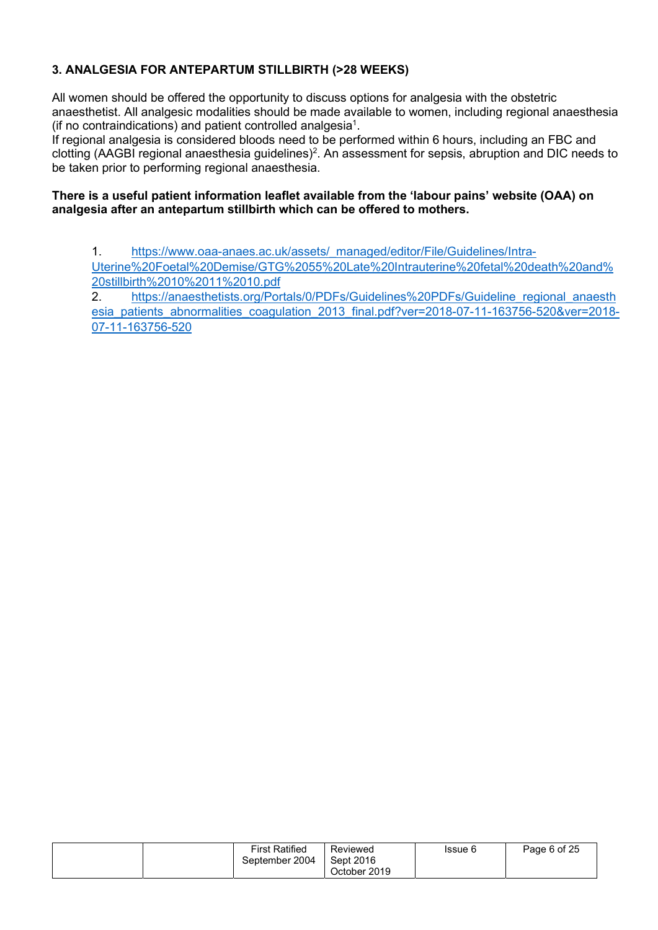## 3. ANALGESIA FOR ANTEPARTUM STILLBIRTH (>28 WEEKS)

All women should be offered the opportunity to discuss options for analgesia with the obstetric anaesthetist. All analgesic modalities should be made available to women, including regional anaesthesia (if no contraindications) and patient controlled analgesia<sup>1</sup>.

If regional analgesia is considered bloods need to be performed within 6 hours, including an FBC and clotting (AAGBI regional anaesthesia guidelines)<sup>2</sup>. An assessment for sepsis, abruption and DIC needs to be taken prior to performing regional anaesthesia.

#### There is a useful patient information leaflet available from the 'labour pains' website (OAA) on analgesia after an antepartum stillbirth which can be offered to mothers.

1. https://www.oaa-anaes.ac.uk/assets/\_managed/editor/File/Guidelines/Intra-

Uterine%20Foetal%20Demise/GTG%2055%20Late%20Intrauterine%20fetal%20death%20and% 20stillbirth%2010%2011%2010.pdf

2. https://anaesthetists.org/Portals/0/PDFs/Guidelines%20PDFs/Guideline\_regional\_anaesth esia\_patients\_abnormalities\_coagulation\_2013\_final.pdf?ver=2018-07-11-163756-520&ver=2018-07-11-163756-520

| <b>First Ratified</b> | Reviewed     | Issue 6 | Page 6 of 25 |
|-----------------------|--------------|---------|--------------|
| September 2004        | Sept 2016    |         |              |
|                       | October 2019 |         |              |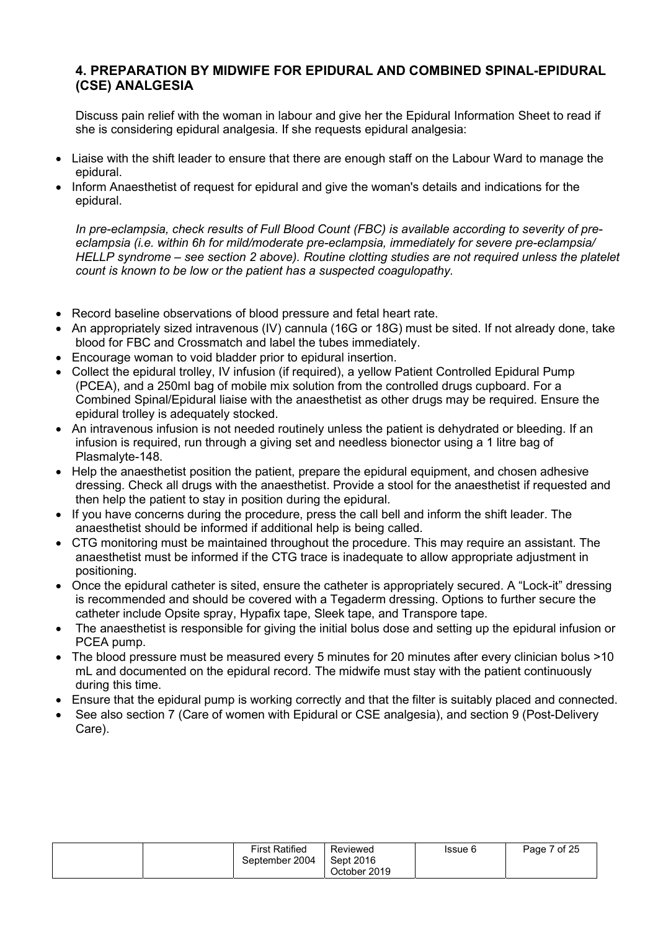## 4. PREPARATION BY MIDWIFE FOR EPIDURAL AND COMBINED SPINAL-EPIDURAL (CSE) ANALGESIA

Discuss pain relief with the woman in labour and give her the Epidural Information Sheet to read if she is considering epidural analgesia. If she requests epidural analgesia:

- Liaise with the shift leader to ensure that there are enough staff on the Labour Ward to manage the epidural.
- Inform Anaesthetist of request for epidural and give the woman's details and indications for the epidural.

In pre-eclampsia, check results of Full Blood Count (FBC) is available according to severity of preeclampsia (i.e. within 6h for mild/moderate pre-eclampsia, immediately for severe pre-eclampsia/ HELLP syndrome – see section 2 above). Routine clotting studies are not required unless the platelet count is known to be low or the patient has a suspected coagulopathy.

- Record baseline observations of blood pressure and fetal heart rate.
- An appropriately sized intravenous (IV) cannula (16G or 18G) must be sited. If not already done, take blood for FBC and Crossmatch and label the tubes immediately.
- Encourage woman to void bladder prior to epidural insertion.
- Collect the epidural trolley, IV infusion (if required), a yellow Patient Controlled Epidural Pump (PCEA), and a 250ml bag of mobile mix solution from the controlled drugs cupboard. For a Combined Spinal/Epidural liaise with the anaesthetist as other drugs may be required. Ensure the epidural trolley is adequately stocked.
- An intravenous infusion is not needed routinely unless the patient is dehydrated or bleeding. If an infusion is required, run through a giving set and needless bionector using a 1 litre bag of Plasmalyte-148.
- Help the anaesthetist position the patient, prepare the epidural equipment, and chosen adhesive dressing. Check all drugs with the anaesthetist. Provide a stool for the anaesthetist if requested and then help the patient to stay in position during the epidural.
- If you have concerns during the procedure, press the call bell and inform the shift leader. The anaesthetist should be informed if additional help is being called.
- CTG monitoring must be maintained throughout the procedure. This may require an assistant. The anaesthetist must be informed if the CTG trace is inadequate to allow appropriate adjustment in positioning.
- Once the epidural catheter is sited, ensure the catheter is appropriately secured. A "Lock-it" dressing is recommended and should be covered with a Tegaderm dressing. Options to further secure the catheter include Opsite spray, Hypafix tape, Sleek tape, and Transpore tape.
- The anaesthetist is responsible for giving the initial bolus dose and setting up the epidural infusion or PCEA pump.
- The blood pressure must be measured every 5 minutes for 20 minutes after every clinician bolus >10 mL and documented on the epidural record. The midwife must stay with the patient continuously during this time.
- Ensure that the epidural pump is working correctly and that the filter is suitably placed and connected.
- See also section 7 (Care of women with Epidural or CSE analgesia), and section 9 (Post-Delivery Care).

|  |  | <b>First Ratified</b><br>September 2004 | Reviewed<br>Sept 2016<br>October 2019 | Issue 6 | 7 of 25<br>Page |
|--|--|-----------------------------------------|---------------------------------------|---------|-----------------|
|--|--|-----------------------------------------|---------------------------------------|---------|-----------------|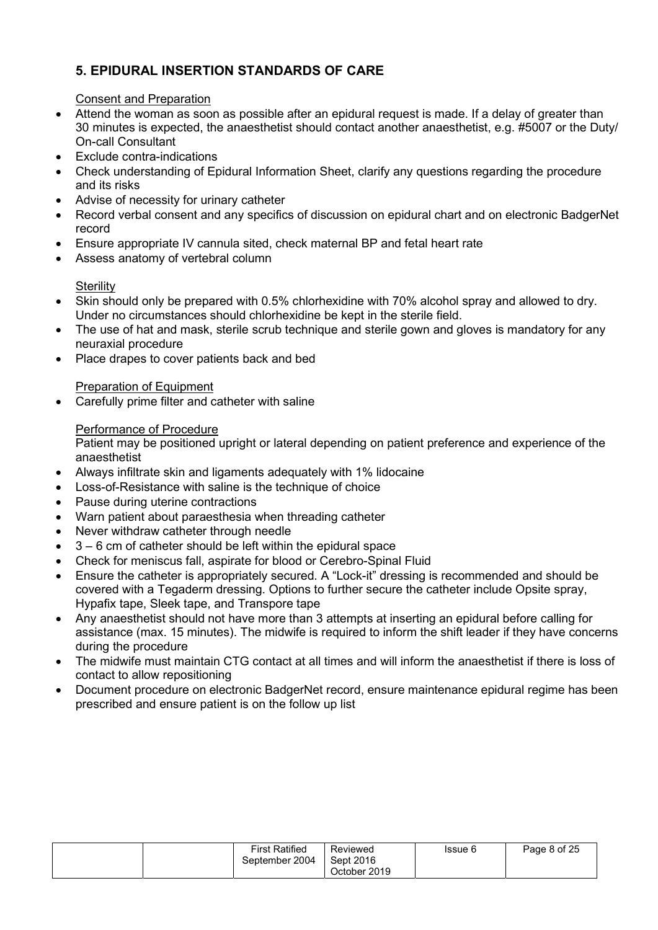## 5. EPIDURAL INSERTION STANDARDS OF CARE

## Consent and Preparation

- Attend the woman as soon as possible after an epidural request is made. If a delay of greater than 30 minutes is expected, the anaesthetist should contact another anaesthetist, e.g. #5007 or the Duty/ On-call Consultant
- Exclude contra-indications
- Check understanding of Epidural Information Sheet, clarify any questions regarding the procedure and its risks
- Advise of necessity for urinary catheter
- Record verbal consent and any specifics of discussion on epidural chart and on electronic BadgerNet record
- Ensure appropriate IV cannula sited, check maternal BP and fetal heart rate
- Assess anatomy of vertebral column

## **Sterility**

- Skin should only be prepared with 0.5% chlorhexidine with 70% alcohol spray and allowed to dry. Under no circumstances should chlorhexidine be kept in the sterile field.
- The use of hat and mask, sterile scrub technique and sterile gown and gloves is mandatory for any neuraxial procedure
- Place drapes to cover patients back and bed

## Preparation of Equipment

Carefully prime filter and catheter with saline

## Performance of Procedure

Patient may be positioned upright or lateral depending on patient preference and experience of the anaesthetist

- Always infiltrate skin and ligaments adequately with 1% lidocaine
- Loss-of-Resistance with saline is the technique of choice
- Pause during uterine contractions
- Warn patient about paraesthesia when threading catheter
- Never withdraw catheter through needle
- 3 6 cm of catheter should be left within the epidural space
- Check for meniscus fall, aspirate for blood or Cerebro-Spinal Fluid
- Ensure the catheter is appropriately secured. A "Lock-it" dressing is recommended and should be covered with a Tegaderm dressing. Options to further secure the catheter include Opsite spray, Hypafix tape, Sleek tape, and Transpore tape
- Any anaesthetist should not have more than 3 attempts at inserting an epidural before calling for assistance (max. 15 minutes). The midwife is required to inform the shift leader if they have concerns during the procedure
- The midwife must maintain CTG contact at all times and will inform the anaesthetist if there is loss of contact to allow repositioning
- Document procedure on electronic BadgerNet record, ensure maintenance epidural regime has been prescribed and ensure patient is on the follow up list

| <b>First Ratified</b><br>September 2004 | Reviewed<br>Sept 2016 | Issue 6 | Page 8 of 25 |
|-----------------------------------------|-----------------------|---------|--------------|
|                                         | October 2019          |         |              |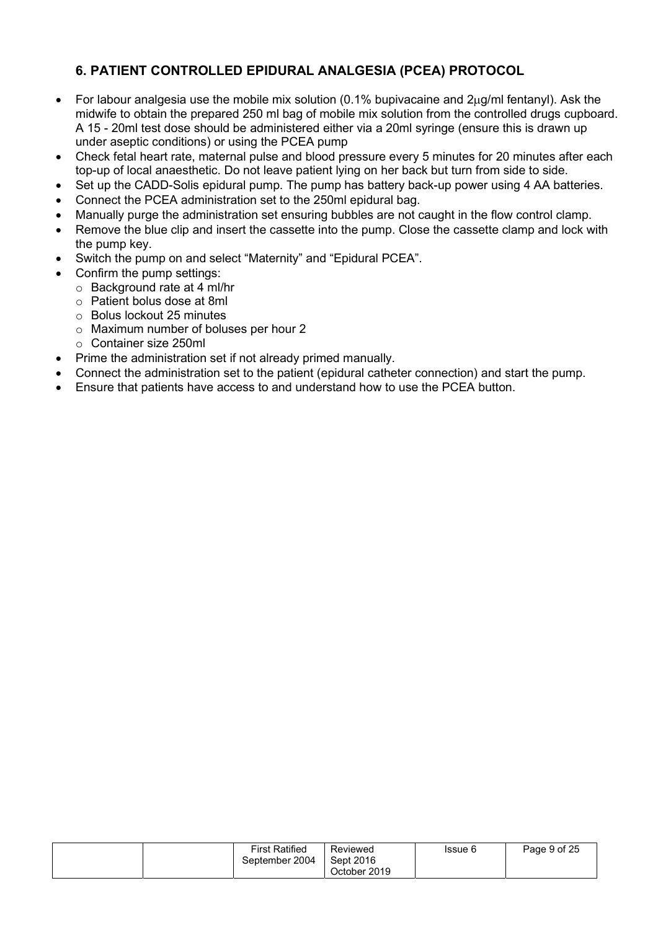## 6. PATIENT CONTROLLED EPIDURAL ANALGESIA (PCEA) PROTOCOL

- For labour analgesia use the mobile mix solution (0.1% bupivacaine and  $2\mu g/ml$  fentanyl). Ask the midwife to obtain the prepared 250 ml bag of mobile mix solution from the controlled drugs cupboard. A 15 - 20ml test dose should be administered either via a 20ml syringe (ensure this is drawn up under aseptic conditions) or using the PCEA pump
- Check fetal heart rate, maternal pulse and blood pressure every 5 minutes for 20 minutes after each top-up of local anaesthetic. Do not leave patient lying on her back but turn from side to side.
- Set up the CADD-Solis epidural pump. The pump has battery back-up power using 4 AA batteries.
- Connect the PCEA administration set to the 250ml epidural bag.
- Manually purge the administration set ensuring bubbles are not caught in the flow control clamp.
- Remove the blue clip and insert the cassette into the pump. Close the cassette clamp and lock with the pump key.
- Switch the pump on and select "Maternity" and "Epidural PCEA".
- Confirm the pump settings:
	- o Background rate at 4 ml/hr
	- o Patient bolus dose at 8ml
	- o Bolus lockout 25 minutes
	- o Maximum number of boluses per hour 2
	- o Container size 250ml
- Prime the administration set if not already primed manually.
- Connect the administration set to the patient (epidural catheter connection) and start the pump.
- Ensure that patients have access to and understand how to use the PCEA button.

| <b>First Ratified</b><br>September 2004 | Reviewed<br>Sept 2016 | Issue 6 | Page 9 of 25 |
|-----------------------------------------|-----------------------|---------|--------------|
|                                         | October 2019          |         |              |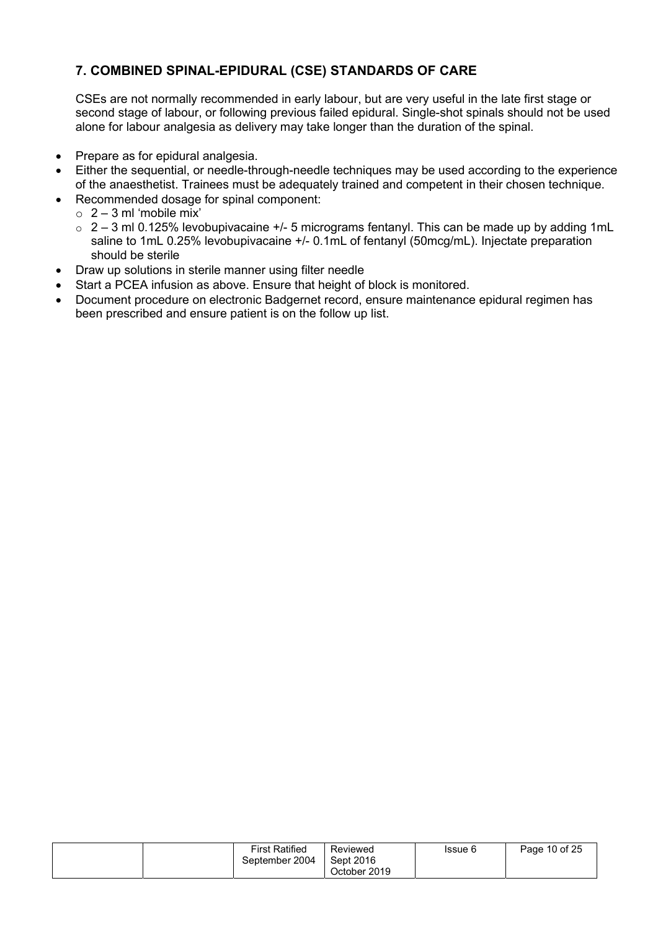## 7. COMBINED SPINAL-EPIDURAL (CSE) STANDARDS OF CARE

CSEs are not normally recommended in early labour, but are very useful in the late first stage or second stage of labour, or following previous failed epidural. Single-shot spinals should not be used alone for labour analgesia as delivery may take longer than the duration of the spinal.

- Prepare as for epidural analgesia.
- Either the sequential, or needle-through-needle techniques may be used according to the experience of the anaesthetist. Trainees must be adequately trained and competent in their chosen technique.
- Recommended dosage for spinal component:
	- $\circ$  2 3 ml 'mobile mix'
	- $\circ$  2 3 ml 0.125% levobupivacaine +/- 5 micrograms fentanyl. This can be made up by adding 1mL saline to 1mL 0.25% levobupivacaine +/- 0.1mL of fentanyl (50mcg/mL). Injectate preparation should be sterile
- Draw up solutions in sterile manner using filter needle
- Start a PCEA infusion as above. Ensure that height of block is monitored.
- Document procedure on electronic Badgernet record, ensure maintenance epidural regimen has been prescribed and ensure patient is on the follow up list.

|  | <b>First Ratified</b> | Reviewed     | Issue 6 | Page 10 of 25 |
|--|-----------------------|--------------|---------|---------------|
|  | September 2004        | Sept 2016    |         |               |
|  |                       | October 2019 |         |               |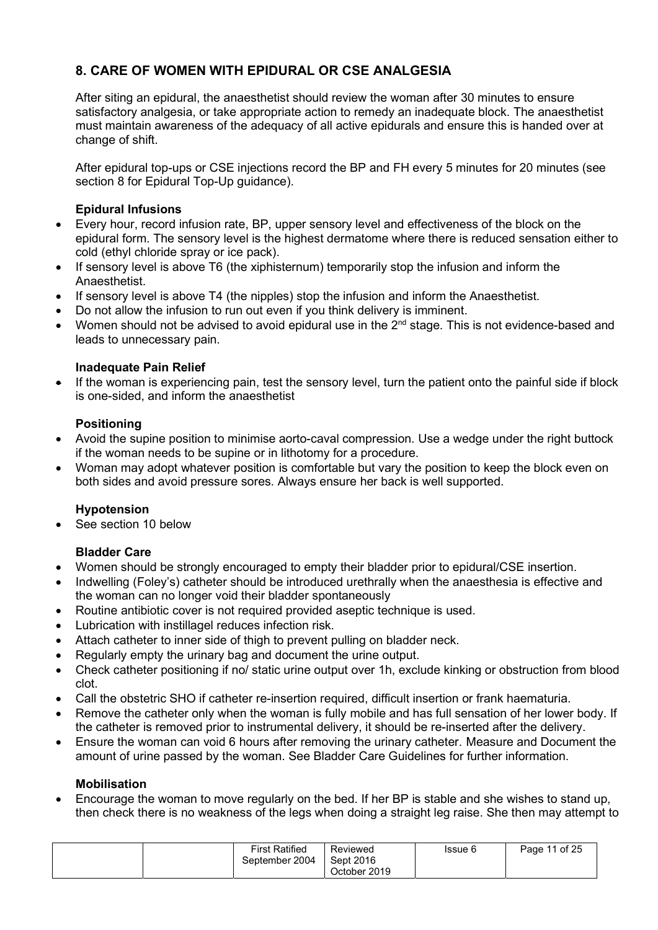## 8. CARE OF WOMEN WITH EPIDURAL OR CSE ANALGESIA

After siting an epidural, the anaesthetist should review the woman after 30 minutes to ensure satisfactory analgesia, or take appropriate action to remedy an inadequate block. The anaesthetist must maintain awareness of the adequacy of all active epidurals and ensure this is handed over at change of shift.

After epidural top-ups or CSE injections record the BP and FH every 5 minutes for 20 minutes (see section 8 for Epidural Top-Up quidance).

#### Epidural Infusions

- Every hour, record infusion rate, BP, upper sensory level and effectiveness of the block on the epidural form. The sensory level is the highest dermatome where there is reduced sensation either to cold (ethyl chloride spray or ice pack).
- If sensory level is above T6 (the xiphisternum) temporarily stop the infusion and inform the Anaesthetist.
- If sensory level is above T4 (the nipples) stop the infusion and inform the Anaesthetist.
- Do not allow the infusion to run out even if you think delivery is imminent.
- Women should not be advised to avoid epidural use in the 2<sup>nd</sup> stage. This is not evidence-based and leads to unnecessary pain.

#### Inadequate Pain Relief

 If the woman is experiencing pain, test the sensory level, turn the patient onto the painful side if block is one-sided, and inform the anaesthetist

#### Positioning

- Avoid the supine position to minimise aorto-caval compression. Use a wedge under the right buttock if the woman needs to be supine or in lithotomy for a procedure.
- Woman may adopt whatever position is comfortable but vary the position to keep the block even on both sides and avoid pressure sores. Always ensure her back is well supported.

#### Hypotension

See section 10 below

## Bladder Care

- Women should be strongly encouraged to empty their bladder prior to epidural/CSE insertion.
- Indwelling (Foley's) catheter should be introduced urethrally when the anaesthesia is effective and the woman can no longer void their bladder spontaneously
- Routine antibiotic cover is not required provided aseptic technique is used.
- Lubrication with instillagel reduces infection risk.
- Attach catheter to inner side of thigh to prevent pulling on bladder neck.
- Regularly empty the urinary bag and document the urine output.
- Check catheter positioning if no/ static urine output over 1h, exclude kinking or obstruction from blood clot.
- Call the obstetric SHO if catheter re-insertion required, difficult insertion or frank haematuria.
- Remove the catheter only when the woman is fully mobile and has full sensation of her lower body. If the catheter is removed prior to instrumental delivery, it should be re-inserted after the delivery.
- Ensure the woman can void 6 hours after removing the urinary catheter. Measure and Document the amount of urine passed by the woman. See Bladder Care Guidelines for further information.

#### Mobilisation

 Encourage the woman to move regularly on the bed. If her BP is stable and she wishes to stand up, then check there is no weakness of the legs when doing a straight leg raise. She then may attempt to

| <b>First Ratified</b><br>September 2004 | Reviewed<br>Sept 2016<br>October 2019 | Issue 6 | Page 11 of 25 |
|-----------------------------------------|---------------------------------------|---------|---------------|
|-----------------------------------------|---------------------------------------|---------|---------------|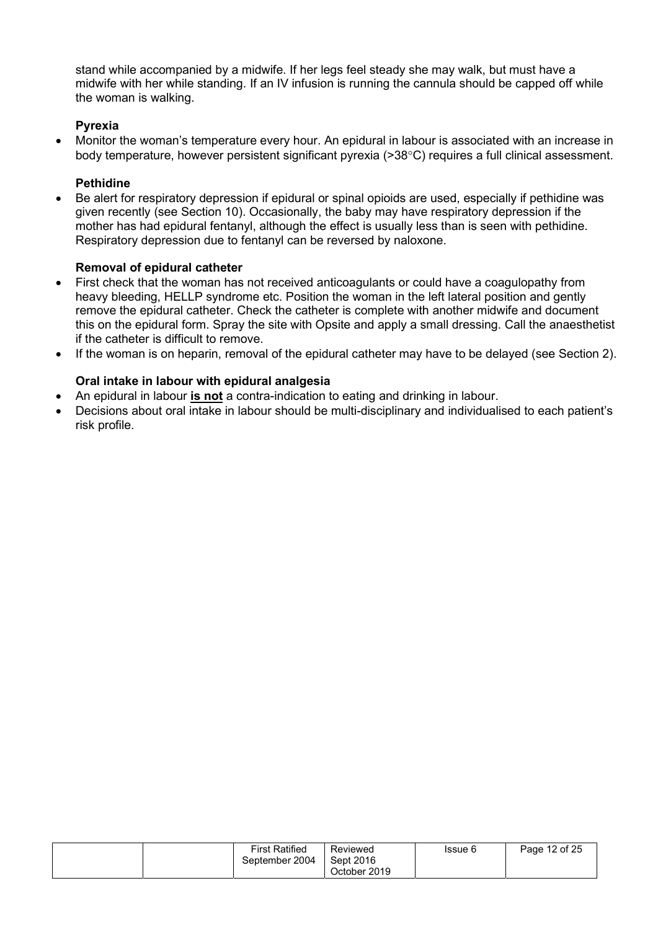stand while accompanied by a midwife. If her legs feel steady she may walk, but must have a midwife with her while standing. If an IV infusion is running the cannula should be capped off while the woman is walking.

## Pyrexia

 Monitor the woman's temperature every hour. An epidural in labour is associated with an increase in body temperature, however persistent significant pyrexia (>38°C) requires a full clinical assessment.

## Pethidine

 Be alert for respiratory depression if epidural or spinal opioids are used, especially if pethidine was given recently (see Section 10). Occasionally, the baby may have respiratory depression if the mother has had epidural fentanyl, although the effect is usually less than is seen with pethidine. Respiratory depression due to fentanyl can be reversed by naloxone.

#### Removal of epidural catheter

- First check that the woman has not received anticoagulants or could have a coagulopathy from heavy bleeding. HELLP syndrome etc. Position the woman in the left lateral position and gently remove the epidural catheter. Check the catheter is complete with another midwife and document this on the epidural form. Spray the site with Opsite and apply a small dressing. Call the anaesthetist if the catheter is difficult to remove.
- If the woman is on heparin, removal of the epidural catheter may have to be delayed (see Section 2).

## Oral intake in labour with epidural analgesia

- An epidural in labour **is not** a contra-indication to eating and drinking in labour.
- Decisions about oral intake in labour should be multi-disciplinary and individualised to each patient's risk profile.

| <b>First Ratified</b><br>September 2004 | Reviewed<br>Sept 2016<br>October 2019 | Issue 6 | Page 12 of 25 |
|-----------------------------------------|---------------------------------------|---------|---------------|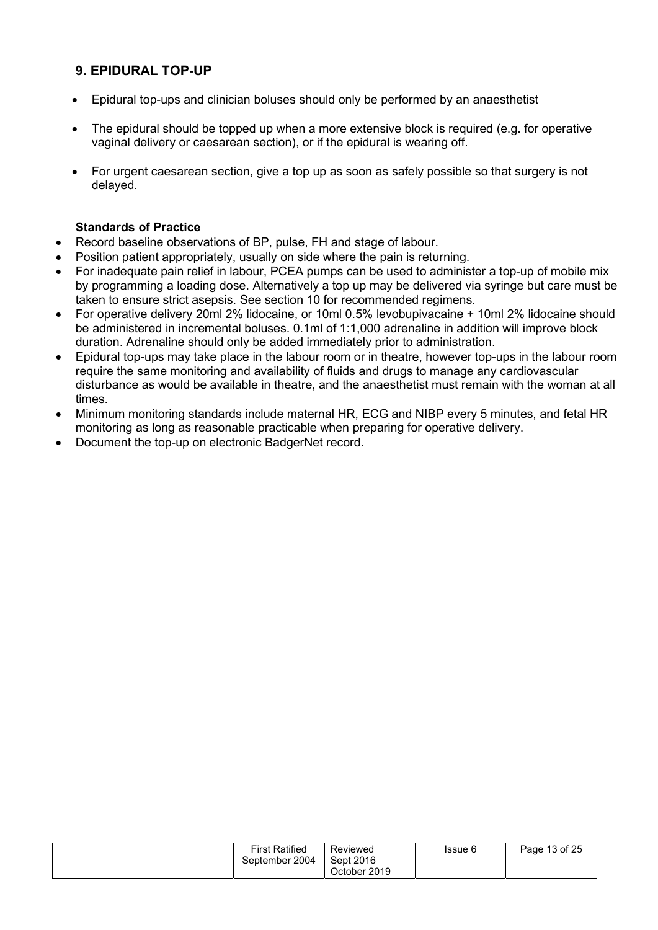## 9. EPIDURAL TOP-UP

- Epidural top-ups and clinician boluses should only be performed by an anaesthetist
- The epidural should be topped up when a more extensive block is required (e.g. for operative vaginal delivery or caesarean section), or if the epidural is wearing off.
- For urgent caesarean section, give a top up as soon as safely possible so that surgery is not delayed.

#### Standards of Practice

- Record baseline observations of BP, pulse, FH and stage of labour.
- Position patient appropriately, usually on side where the pain is returning.
- For inadequate pain relief in labour, PCEA pumps can be used to administer a top-up of mobile mix by programming a loading dose. Alternatively a top up may be delivered via syringe but care must be taken to ensure strict asepsis. See section 10 for recommended regimens.
- For operative delivery 20ml 2% lidocaine, or 10ml 0.5% levobupivacaine + 10ml 2% lidocaine should be administered in incremental boluses. 0.1ml of 1:1,000 adrenaline in addition will improve block duration. Adrenaline should only be added immediately prior to administration.
- Epidural top-ups may take place in the labour room or in theatre, however top-ups in the labour room require the same monitoring and availability of fluids and drugs to manage any cardiovascular disturbance as would be available in theatre, and the anaesthetist must remain with the woman at all times.
- Minimum monitoring standards include maternal HR, ECG and NIBP every 5 minutes, and fetal HR monitoring as long as reasonable practicable when preparing for operative delivery.
- Document the top-up on electronic BadgerNet record.

|  | <b>First Ratified</b><br>September 2004 | Reviewed<br>Sept 2016<br>October 2019 | Issue 6 | Page 13 of 25 |
|--|-----------------------------------------|---------------------------------------|---------|---------------|
|--|-----------------------------------------|---------------------------------------|---------|---------------|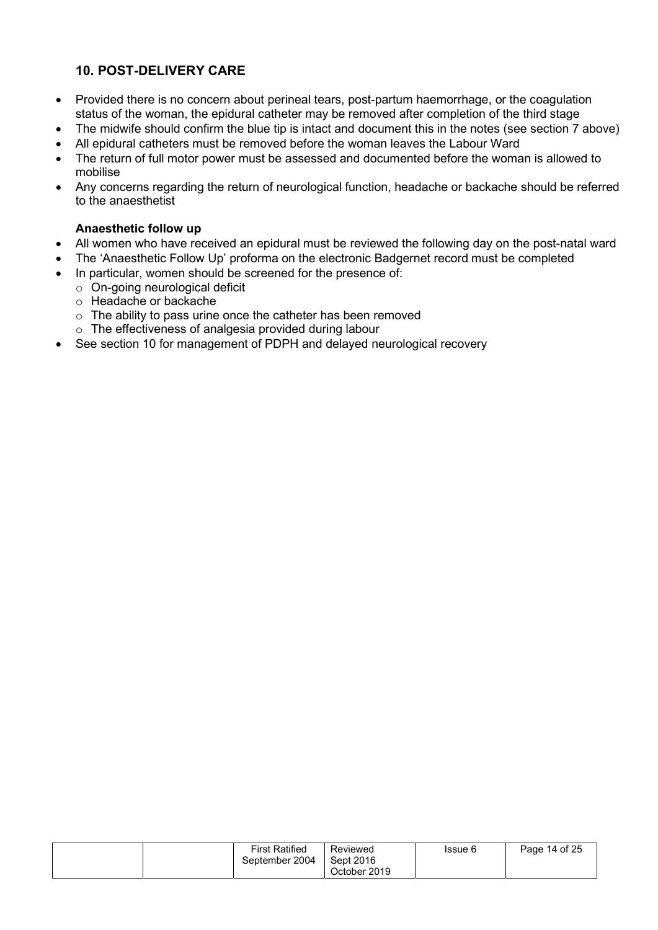## 10. POST-DELIVERY CARE

- Provided there is no concern about perineal tears, post-partum haemorrhage, or the coagulation status of the woman, the epidural catheter may be removed after completion of the third stage
- The midwife should confirm the blue tip is intact and document this in the notes (see section 7 above)
- All epidural catheters must be removed before the woman leaves the Labour Ward
- The return of full motor power must be assessed and documented before the woman is allowed to mobilise
- Any concerns regarding the return of neurological function, headache or backache should be referred to the anaesthetist

#### Anaesthetic follow up

- All women who have received an epidural must be reviewed the following day on the post-natal ward
- The 'Anaesthetic Follow Up' proforma on the electronic Badgernet record must be completed
- In particular, women should be screened for the presence of:
	- o On-going neurological deficit
	- o Headache or backache
	- o The ability to pass urine once the catheter has been removed
	- o The effectiveness of analgesia provided during labour
- See section 10 for management of PDPH and delayed neurological recovery

| <b>First Ratified</b><br>September 2004 | Reviewed<br>Sept 2016<br>October 2019 | Issue 6 | Page 14 of 25 |
|-----------------------------------------|---------------------------------------|---------|---------------|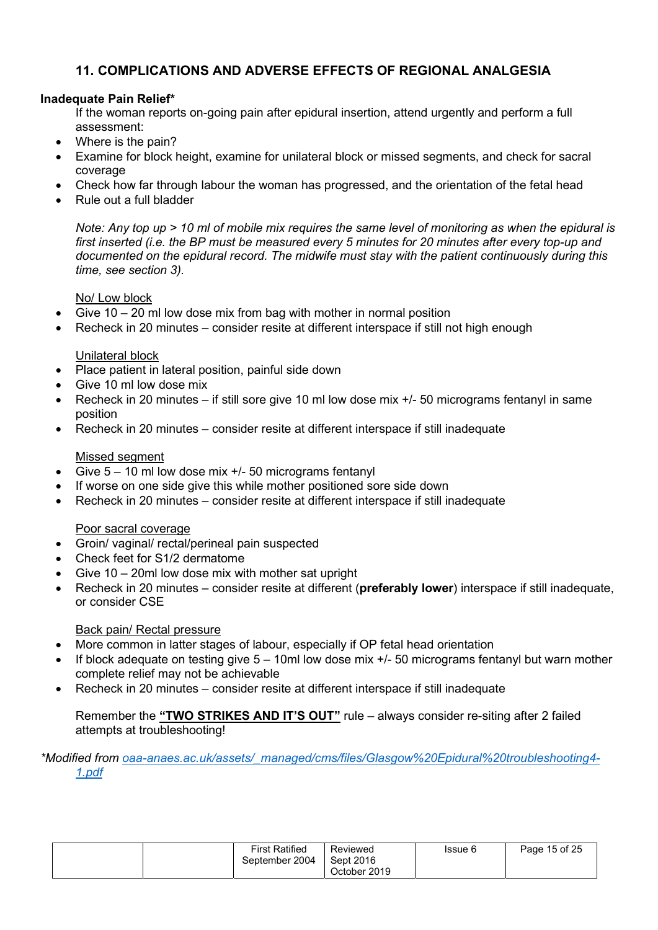## 11. COMPLICATIONS AND ADVERSE EFFECTS OF REGIONAL ANALGESIA

### Inadequate Pain Relief\*

If the woman reports on-going pain after epidural insertion, attend urgently and perform a full assessment:

- Where is the pain?
- Examine for block height, examine for unilateral block or missed segments, and check for sacral coverage
- Check how far through labour the woman has progressed, and the orientation of the fetal head
- Rule out a full bladder

Note: Any top up > 10 ml of mobile mix requires the same level of monitoring as when the epidural is first inserted (i.e. the BP must be measured every 5 minutes for 20 minutes after every top-up and documented on the epidural record. The midwife must stay with the patient continuously during this time, see section 3).

#### No/ Low block

- Give 10 20 ml low dose mix from bag with mother in normal position
- Recheck in 20 minutes consider resite at different interspace if still not high enough

#### Unilateral block

- Place patient in lateral position, painful side down
- Give 10 ml low dose mix
- Recheck in 20 minutes if still sore give 10 ml low dose mix +/- 50 micrograms fentanyl in same position
- Recheck in 20 minutes consider resite at different interspace if still inadequate

#### Missed segment

- Give 5 10 ml low dose mix +/- 50 micrograms fentanyl
- If worse on one side give this while mother positioned sore side down
- Recheck in 20 minutes consider resite at different interspace if still inadequate

#### Poor sacral coverage

- Groin/ vaginal/ rectal/perineal pain suspected
- Check feet for S1/2 dermatome
- Give 10 20ml low dose mix with mother sat upright
- Recheck in 20 minutes consider resite at different (preferably lower) interspace if still inadequate, or consider CSE

#### Back pain/ Rectal pressure

- More common in latter stages of labour, especially if OP fetal head orientation
- If block adequate on testing give 5 10ml low dose mix +/- 50 micrograms fentanyl but warn mother complete relief may not be achievable
- Recheck in 20 minutes consider resite at different interspace if still inadequate

Remember the "TWO STRIKES AND IT'S OUT" rule – always consider re-siting after 2 failed attempts at troubleshooting!

#### \*Modified from oaa-anaes.ac.uk/assets/\_managed/cms/files/Glasgow%20Epidural%20troubleshooting4-1.pdf

|  | <b>First Ratified</b><br>September 2004 | Reviewed<br>Sept 2016 | Issue 6 | Page 15 of 25 |
|--|-----------------------------------------|-----------------------|---------|---------------|
|  |                                         | October 2019          |         |               |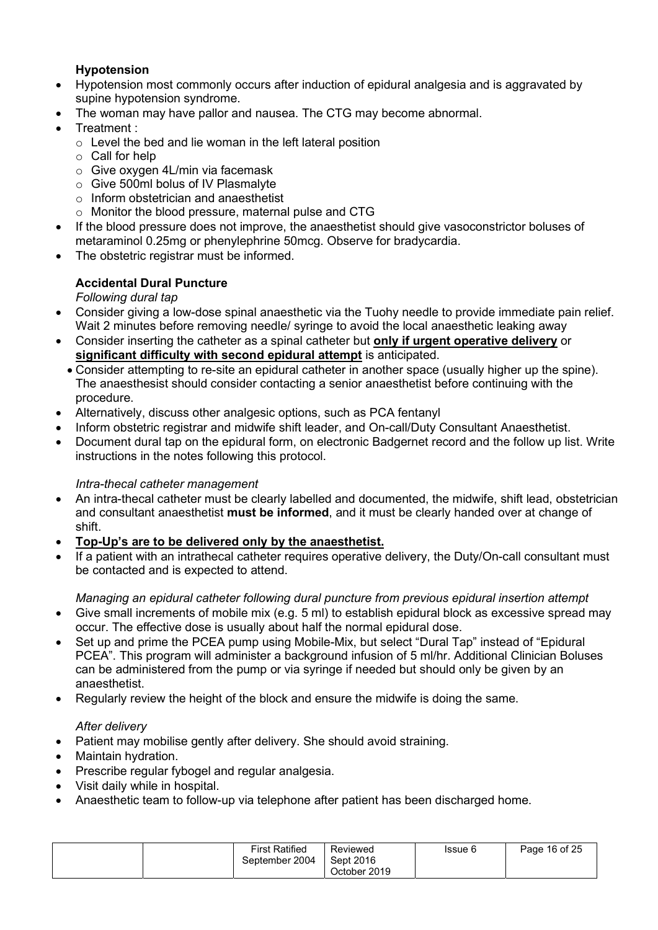## Hypotension

- Hypotension most commonly occurs after induction of epidural analgesia and is aggravated by supine hypotension syndrome.
- The woman may have pallor and nausea. The CTG may become abnormal.
- Treatment :
	- $\circ$  Level the bed and lie woman in the left lateral position
	- o Call for help
	- o Give oxygen 4L/min via facemask
	- o Give 500ml bolus of IV Plasmalyte
	- o Inform obstetrician and anaesthetist
	- o Monitor the blood pressure, maternal pulse and CTG
- If the blood pressure does not improve, the anaesthetist should give vasoconstrictor boluses of metaraminol 0.25mg or phenylephrine 50mcg. Observe for bradycardia.
- The obstetric registrar must be informed.

## Accidental Dural Puncture

## Following dural tap

- Consider giving a low-dose spinal anaesthetic via the Tuohy needle to provide immediate pain relief. Wait 2 minutes before removing needle/ syringe to avoid the local anaesthetic leaking away
- Consider inserting the catheter as a spinal catheter but only if urgent operative delivery or significant difficulty with second epidural attempt is anticipated.
- Consider attempting to re-site an epidural catheter in another space (usually higher up the spine). The anaesthesist should consider contacting a senior anaesthetist before continuing with the procedure.
- Alternatively, discuss other analgesic options, such as PCA fentanyl
- Inform obstetric registrar and midwife shift leader, and On-call/Duty Consultant Anaesthetist.
- Document dural tap on the epidural form, on electronic Badgernet record and the follow up list. Write instructions in the notes following this protocol.

## Intra-thecal catheter management

- An intra-thecal catheter must be clearly labelled and documented, the midwife, shift lead, obstetrician and consultant anaesthetist must be informed, and it must be clearly handed over at change of shift.
- Top-Up's are to be delivered only by the anaesthetist.
- If a patient with an intrathecal catheter requires operative delivery, the Duty/On-call consultant must be contacted and is expected to attend.

## Managing an epidural catheter following dural puncture from previous epidural insertion attempt

- Give small increments of mobile mix (e.g. 5 ml) to establish epidural block as excessive spread may occur. The effective dose is usually about half the normal epidural dose.
- Set up and prime the PCEA pump using Mobile-Mix, but select "Dural Tap" instead of "Epidural PCEA". This program will administer a background infusion of 5 ml/hr. Additional Clinician Boluses can be administered from the pump or via syringe if needed but should only be given by an anaesthetist.
- Regularly review the height of the block and ensure the midwife is doing the same.

## After delivery

- Patient may mobilise gently after delivery. She should avoid straining.
- Maintain hydration.
- Prescribe regular fybogel and regular analgesia.
- Visit daily while in hospital.
- Anaesthetic team to follow-up via telephone after patient has been discharged home.

| First Ratified<br>Page 16 of 25<br>Reviewed<br>Issue 6<br>Sept 2016<br>September 2004<br>October 2019 |  |  |
|-------------------------------------------------------------------------------------------------------|--|--|
|-------------------------------------------------------------------------------------------------------|--|--|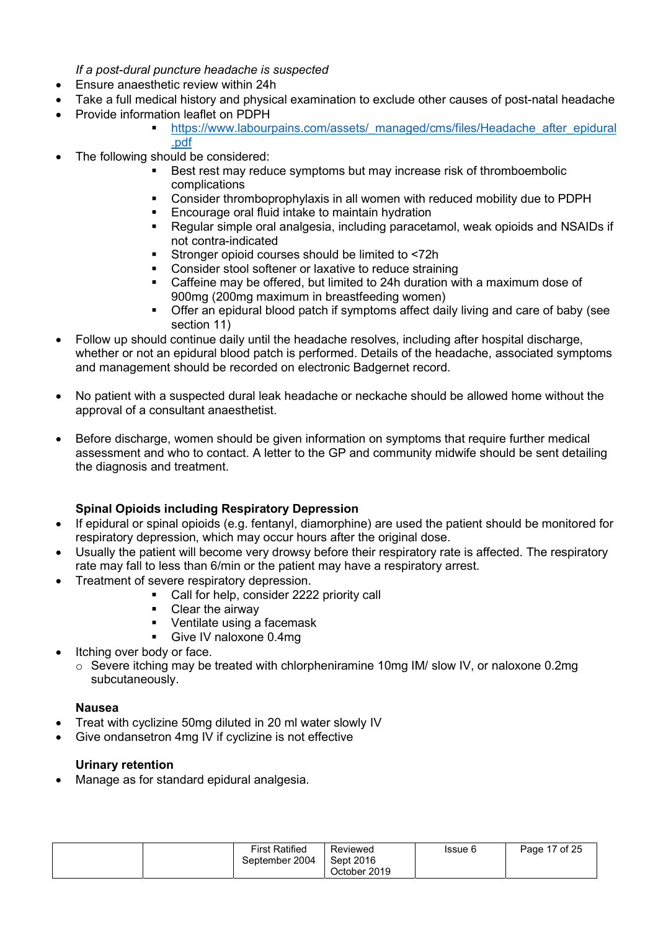If a post-dural puncture headache is suspected

- Ensure anaesthetic review within 24h
- Take a full medical history and physical examination to exclude other causes of post-natal headache
	- Provide information leaflet on PDPH
		- https://www.labourpains.com/assets/\_managed/cms/files/Headache\_after\_epidural .pdf
- The following should be considered:
	- Best rest may reduce symptoms but may increase risk of thromboembolic complications
	- Consider thromboprophylaxis in all women with reduced mobility due to PDPH
	- **Encourage oral fluid intake to maintain hydration**
	- Regular simple oral analgesia, including paracetamol, weak opioids and NSAIDs if not contra-indicated
	- Stronger opioid courses should be limited to <72h
	- **Consider stool softener or laxative to reduce straining**
	- Caffeine may be offered, but limited to 24h duration with a maximum dose of 900mg (200mg maximum in breastfeeding women)
	- Offer an epidural blood patch if symptoms affect daily living and care of baby (see section 11)
- Follow up should continue daily until the headache resolves, including after hospital discharge, whether or not an epidural blood patch is performed. Details of the headache, associated symptoms and management should be recorded on electronic Badgernet record.
- No patient with a suspected dural leak headache or neckache should be allowed home without the approval of a consultant anaesthetist.
- Before discharge, women should be given information on symptoms that require further medical assessment and who to contact. A letter to the GP and community midwife should be sent detailing the diagnosis and treatment.

## Spinal Opioids including Respiratory Depression

- If epidural or spinal opioids (e.g. fentanyl, diamorphine) are used the patient should be monitored for respiratory depression, which may occur hours after the original dose.
- Usually the patient will become very drowsy before their respiratory rate is affected. The respiratory rate may fall to less than 6/min or the patient may have a respiratory arrest.
- Treatment of severe respiratory depression.
	- **Call for help, consider 2222 priority call**
	- **Clear the airway**
	- Ventilate using a facemask
	- Give IV naloxone 0.4mg
- Itching over body or face.
	- $\circ$  Severe itching may be treated with chlorpheniramine 10mg IM/ slow IV, or naloxone 0.2mg subcutaneously.

#### Nausea

- Treat with cyclizine 50mg diluted in 20 ml water slowly IV
- Give ondansetron 4mg IV if cyclizine is not effective

## Urinary retention

Manage as for standard epidural analgesia.

| <b>First Ratified</b><br>September 2004 | Reviewed<br>Sept 2016<br>October 2019 | Issue 6 | Page 17 of 25 |
|-----------------------------------------|---------------------------------------|---------|---------------|
|-----------------------------------------|---------------------------------------|---------|---------------|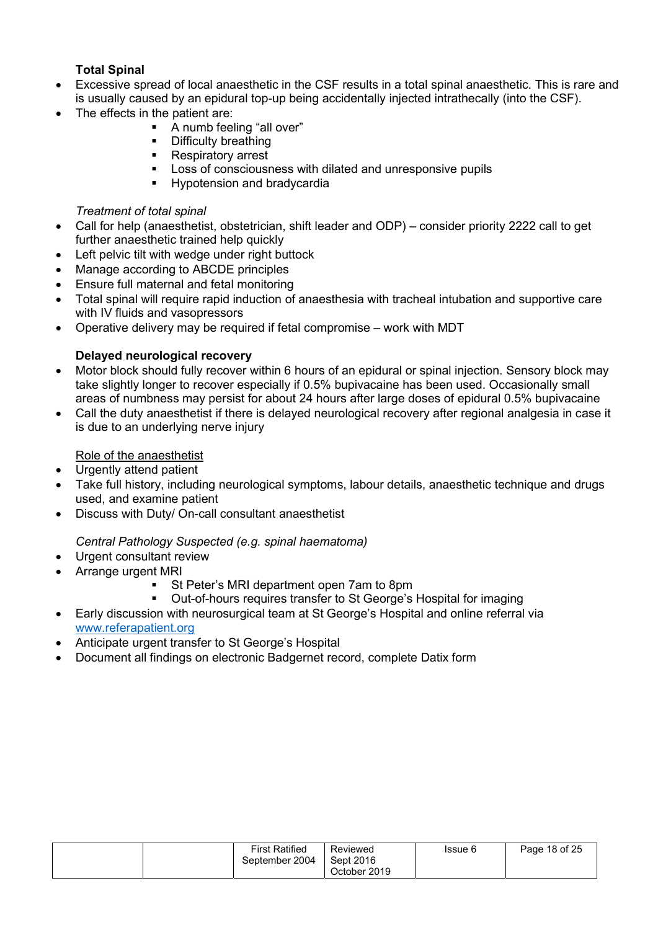## **Total Spinal**

- Excessive spread of local anaesthetic in the CSF results in a total spinal anaesthetic. This is rare and is usually caused by an epidural top-up being accidentally injected intrathecally (into the CSF).
- The effects in the patient are:
	- **A** numb feeling "all over"
	- **•** Difficulty breathing
	- **Respiratory arrest**
	- **Loss of consciousness with dilated and unresponsive pupils**
	- **Hypotension and bradycardia**

#### Treatment of total spinal

- Call for help (anaesthetist, obstetrician, shift leader and ODP) consider priority 2222 call to get further anaesthetic trained help quickly
- Left pelvic tilt with wedge under right buttock
- Manage according to ABCDE principles
- Ensure full maternal and fetal monitoring
- Total spinal will require rapid induction of anaesthesia with tracheal intubation and supportive care with IV fluids and vasopressors
- Operative delivery may be required if fetal compromise work with MDT

#### Delayed neurological recovery

- Motor block should fully recover within 6 hours of an epidural or spinal injection. Sensory block may take slightly longer to recover especially if 0.5% bupivacaine has been used. Occasionally small areas of numbness may persist for about 24 hours after large doses of epidural 0.5% bupivacaine
- Call the duty anaesthetist if there is delayed neurological recovery after regional analgesia in case it is due to an underlying nerve injury

#### Role of the anaesthetist

- Urgently attend patient
- Take full history, including neurological symptoms, labour details, anaesthetic technique and drugs used, and examine patient
- Discuss with Duty/ On-call consultant anaesthetist

## Central Pathology Suspected (e.g. spinal haematoma)

- Urgent consultant review
- Arrange urgent MRI
	- St Peter's MRI department open 7am to 8pm
	- Out-of-hours requires transfer to St George's Hospital for imaging
- Early discussion with neurosurgical team at St George's Hospital and online referral via www.referapatient.org
- Anticipate urgent transfer to St George's Hospital
- Document all findings on electronic Badgernet record, complete Datix form

|  | <b>First Ratified</b><br>September 2004 | Reviewed<br>Sept 2016<br>October 2019 | Issue 6 | Page 18 of 25 |
|--|-----------------------------------------|---------------------------------------|---------|---------------|
|--|-----------------------------------------|---------------------------------------|---------|---------------|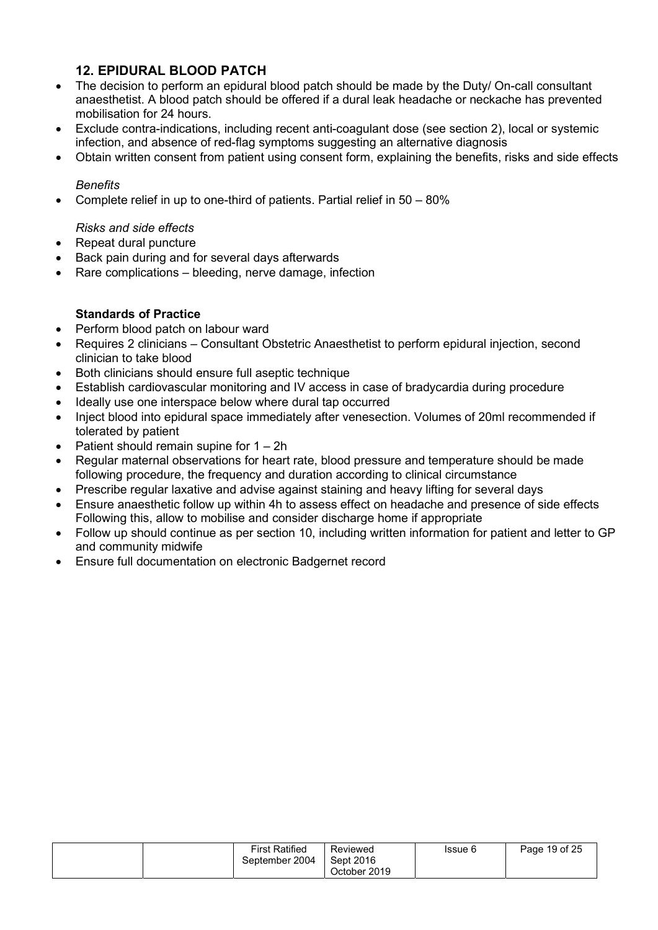## 12. EPIDURAL BLOOD PATCH

- The decision to perform an epidural blood patch should be made by the Duty/ On-call consultant anaesthetist. A blood patch should be offered if a dural leak headache or neckache has prevented mobilisation for 24 hours.
- Exclude contra-indications, including recent anti-coagulant dose (see section 2), local or systemic infection, and absence of red-flag symptoms suggesting an alternative diagnosis
- Obtain written consent from patient using consent form, explaining the benefits, risks and side effects

#### **Benefits**

Complete relief in up to one-third of patients. Partial relief in 50 – 80%

#### Risks and side effects

- Repeat dural puncture
- Back pain during and for several days afterwards
- Rare complications bleeding, nerve damage, infection

#### Standards of Practice

- Perform blood patch on labour ward
- Requires 2 clinicians Consultant Obstetric Anaesthetist to perform epidural injection, second clinician to take blood
- Both clinicians should ensure full aseptic technique
- Establish cardiovascular monitoring and IV access in case of bradycardia during procedure
- Ideally use one interspace below where dural tap occurred
- Inject blood into epidural space immediately after venesection. Volumes of 20ml recommended if tolerated by patient
- Patient should remain supine for 1 2h
- Regular maternal observations for heart rate, blood pressure and temperature should be made following procedure, the frequency and duration according to clinical circumstance
- Prescribe regular laxative and advise against staining and heavy lifting for several days
- Ensure anaesthetic follow up within 4h to assess effect on headache and presence of side effects Following this, allow to mobilise and consider discharge home if appropriate
- Follow up should continue as per section 10, including written information for patient and letter to GP and community midwife
- Ensure full documentation on electronic Badgernet record

|  | <b>First Ratified</b><br>September 2004 | Reviewed<br>Sept 2016<br>October 2019 | Issue 6 | Page 19 of 25 |
|--|-----------------------------------------|---------------------------------------|---------|---------------|
|--|-----------------------------------------|---------------------------------------|---------|---------------|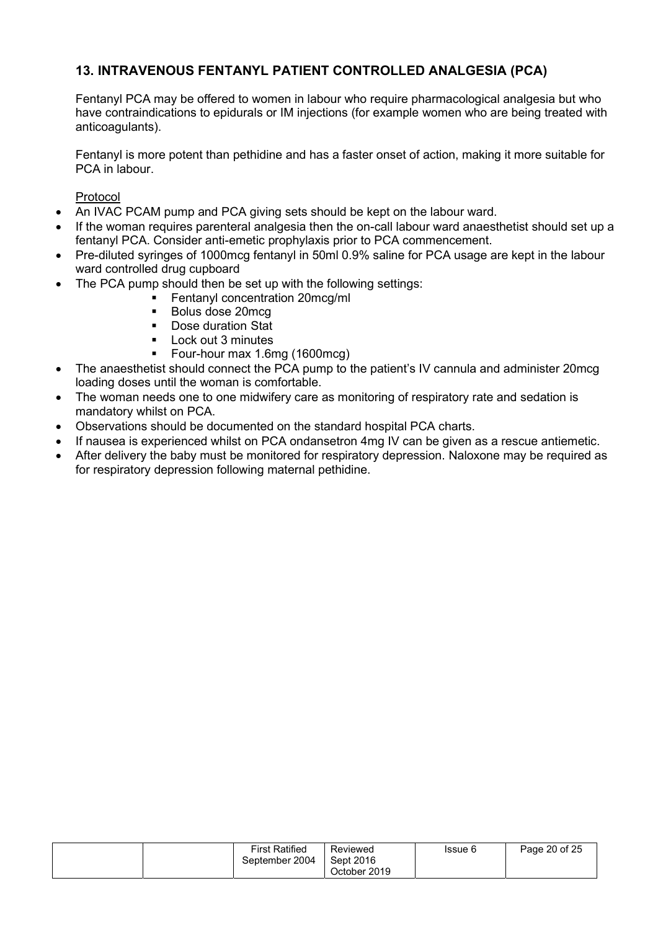## 13. INTRAVENOUS FENTANYL PATIENT CONTROLLED ANALGESIA (PCA)

Fentanyl PCA may be offered to women in labour who require pharmacological analgesia but who have contraindications to epidurals or IM injections (for example women who are being treated with anticoagulants).

Fentanyl is more potent than pethidine and has a faster onset of action, making it more suitable for PCA in labour.

Protocol

- An IVAC PCAM pump and PCA giving sets should be kept on the labour ward.
- If the woman requires parenteral analgesia then the on-call labour ward anaesthetist should set up a fentanyl PCA. Consider anti-emetic prophylaxis prior to PCA commencement.
- Pre-diluted syringes of 1000mcg fentanyl in 50ml 0.9% saline for PCA usage are kept in the labour ward controlled drug cupboard
- The PCA pump should then be set up with the following settings:
	- **Fentanyl concentration 20mcg/ml**
	- **Bolus dose 20mcg**
	- Dose duration Stat
	- **Lock out 3 minutes**
	- Four-hour max 1.6mg (1600mcg)
- The anaesthetist should connect the PCA pump to the patient's IV cannula and administer 20mcg loading doses until the woman is comfortable.
- The woman needs one to one midwifery care as monitoring of respiratory rate and sedation is mandatory whilst on PCA.
- Observations should be documented on the standard hospital PCA charts.
- If nausea is experienced whilst on PCA ondansetron 4mg IV can be given as a rescue antiemetic.
- After delivery the baby must be monitored for respiratory depression. Naloxone may be required as for respiratory depression following maternal pethidine.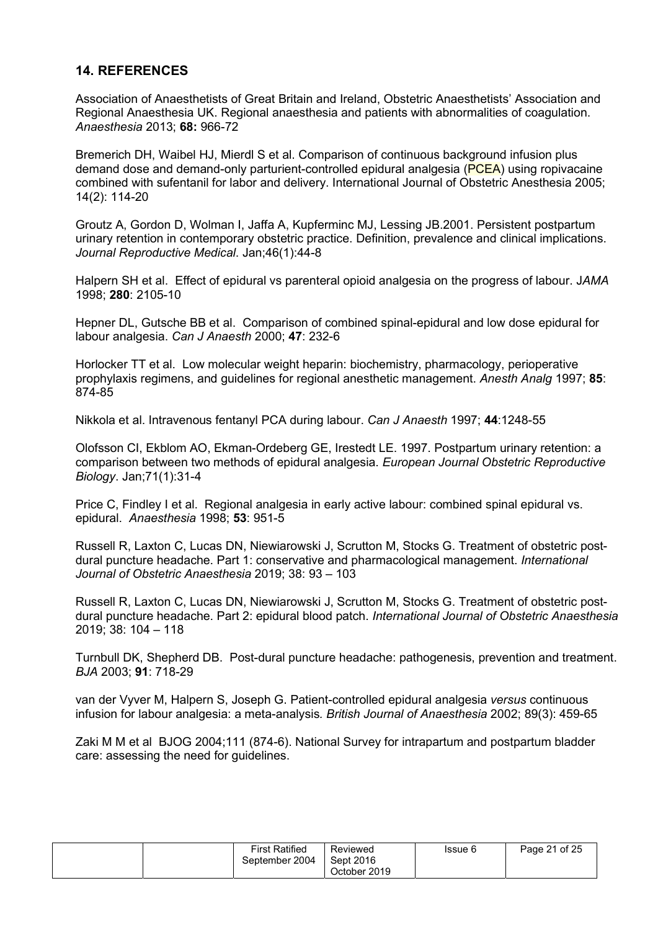## 14. REFERENCES

Association of Anaesthetists of Great Britain and Ireland, Obstetric Anaesthetists' Association and Regional Anaesthesia UK. Regional anaesthesia and patients with abnormalities of coagulation. Anaesthesia 2013; 68: 966-72

Bremerich DH, Waibel HJ, Mierdl S et al. Comparison of continuous background infusion plus demand dose and demand-only parturient-controlled epidural analgesia (PCEA) using ropivacaine combined with sufentanil for labor and delivery. International Journal of Obstetric Anesthesia 2005; 14(2): 114-20

Groutz A, Gordon D, Wolman I, Jaffa A, Kupferminc MJ, Lessing JB.2001. Persistent postpartum urinary retention in contemporary obstetric practice. Definition, prevalence and clinical implications. Journal Reproductive Medical. Jan;46(1):44-8

Halpern SH et al. Effect of epidural vs parenteral opioid analgesia on the progress of labour. JAMA 1998; 280: 2105-10

Hepner DL, Gutsche BB et al. Comparison of combined spinal-epidural and low dose epidural for labour analgesia. Can J Anaesth 2000; 47: 232-6

Horlocker TT et al. Low molecular weight heparin: biochemistry, pharmacology, perioperative prophylaxis regimens, and guidelines for regional anesthetic management. Anesth Analg 1997; 85: 874-85

Nikkola et al. Intravenous fentanyl PCA during labour. Can J Anaesth 1997; 44:1248-55

Olofsson CI, Ekblom AO, Ekman-Ordeberg GE, Irestedt LE. 1997. Postpartum urinary retention: a comparison between two methods of epidural analgesia. European Journal Obstetric Reproductive Biology. Jan;71(1):31-4

Price C, Findley I et al. Regional analgesia in early active labour: combined spinal epidural vs. epidural. Anaesthesia 1998; 53: 951-5

Russell R, Laxton C, Lucas DN, Niewiarowski J, Scrutton M, Stocks G. Treatment of obstetric postdural puncture headache. Part 1: conservative and pharmacological management. International Journal of Obstetric Anaesthesia 2019; 38: 93 – 103

Russell R, Laxton C, Lucas DN, Niewiarowski J, Scrutton M, Stocks G. Treatment of obstetric postdural puncture headache. Part 2: epidural blood patch. International Journal of Obstetric Anaesthesia 2019; 38: 104 – 118

Turnbull DK, Shepherd DB. Post-dural puncture headache: pathogenesis, prevention and treatment. BJA 2003; 91: 718-29

van der Vyver M, Halpern S, Joseph G. Patient-controlled epidural analgesia versus continuous infusion for labour analgesia: a meta-analysis. British Journal of Anaesthesia 2002; 89(3): 459-65

Zaki M M et al BJOG 2004;111 (874-6). National Survey for intrapartum and postpartum bladder care: assessing the need for guidelines.

| <b>First Ratified</b><br>September 2004 | Reviewed<br>Sept 2016<br>October 2019 | Issue 6 | Page 21 of 25 |
|-----------------------------------------|---------------------------------------|---------|---------------|
|-----------------------------------------|---------------------------------------|---------|---------------|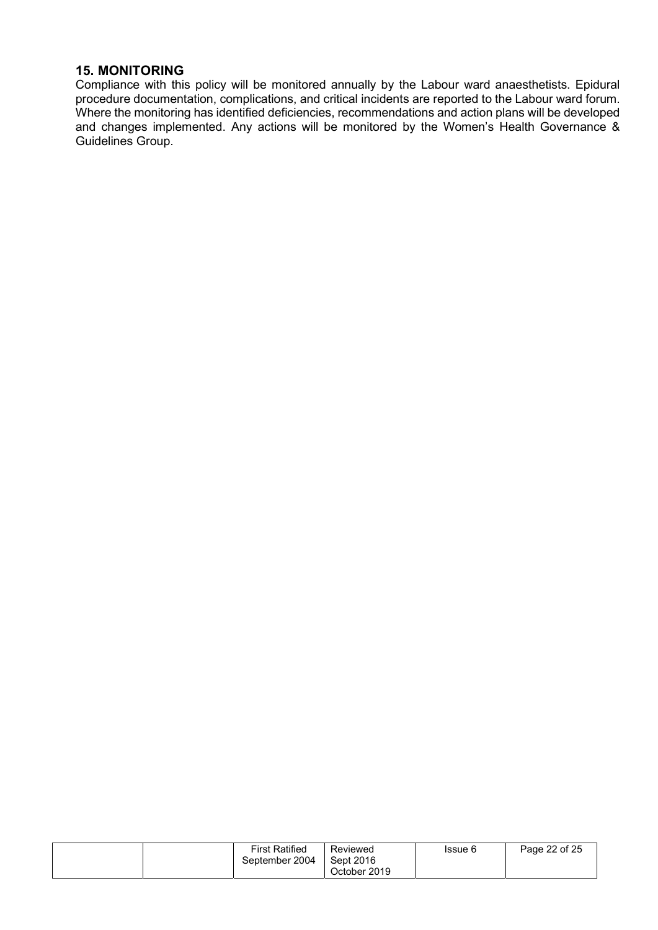#### 15. MONITORING

Compliance with this policy will be monitored annually by the Labour ward anaesthetists. Epidural procedure documentation, complications, and critical incidents are reported to the Labour ward forum. Where the monitoring has identified deficiencies, recommendations and action plans will be developed and changes implemented. Any actions will be monitored by the Women's Health Governance & Guidelines Group.

| <b>First Ratified</b><br>Reviewed<br>September 2004<br>Sept 2016<br>October 2019 | Issue 6 | Page 22 of 25 |
|----------------------------------------------------------------------------------|---------|---------------|
|----------------------------------------------------------------------------------|---------|---------------|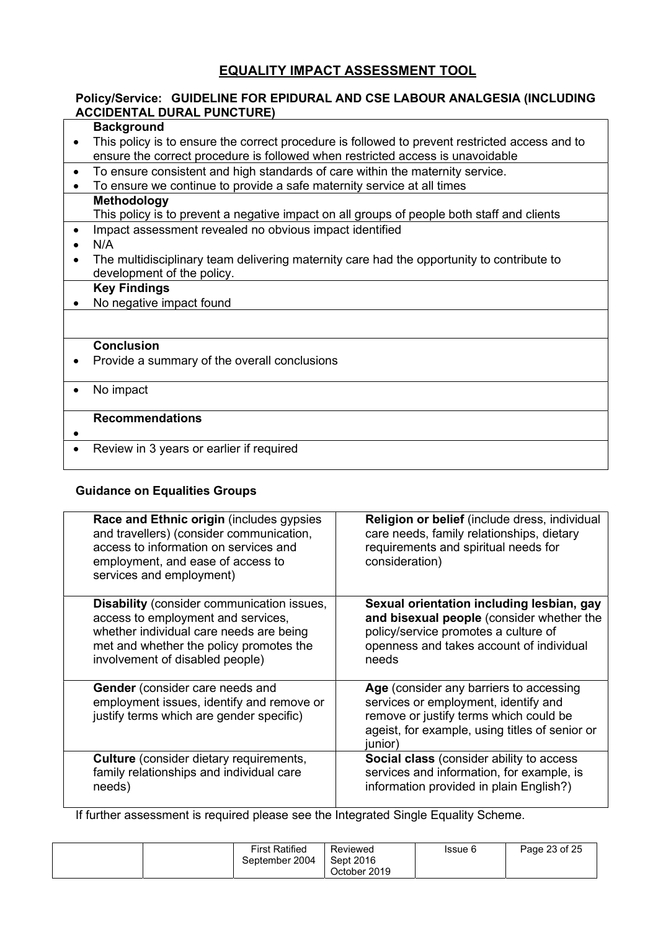## EQUALITY IMPACT ASSESSMENT TOOL

## Policy/Service: GUIDELINE FOR EPIDURAL AND CSE LABOUR ANALGESIA (INCLUDING ACCIDENTAL DURAL PUNCTURE)

### **Background**

- This policy is to ensure the correct procedure is followed to prevent restricted access and to ensure the correct procedure is followed when restricted access is unavoidable
- To ensure consistent and high standards of care within the maternity service.
- To ensure we continue to provide a safe maternity service at all times

## **Methodology**

This policy is to prevent a negative impact on all groups of people both staff and clients

- Impact assessment revealed no obvious impact identified
- $\bullet$  N/A
- The multidisciplinary team delivering maternity care had the opportunity to contribute to development of the policy.

#### Key Findings

• No negative impact found

#### **Conclusion**

- Provide a summary of the overall conclusions
- No impact

#### Recommendations

#### $\bullet$

• Review in 3 years or earlier if required

## Guidance on Equalities Groups

| Race and Ethnic origin (includes gypsies<br>and travellers) (consider communication,<br>access to information on services and<br>employment, and ease of access to<br>services and employment)                   | <b>Religion or belief</b> (include dress, individual<br>care needs, family relationships, dietary<br>requirements and spiritual needs for<br>consideration)                            |
|------------------------------------------------------------------------------------------------------------------------------------------------------------------------------------------------------------------|----------------------------------------------------------------------------------------------------------------------------------------------------------------------------------------|
| <b>Disability</b> (consider communication issues,<br>access to employment and services,<br>whether individual care needs are being<br>met and whether the policy promotes the<br>involvement of disabled people) | Sexual orientation including lesbian, gay<br>and bisexual people (consider whether the<br>policy/service promotes a culture of<br>openness and takes account of individual<br>needs    |
| <b>Gender</b> (consider care needs and<br>employment issues, identify and remove or<br>justify terms which are gender specific)                                                                                  | Age (consider any barriers to accessing<br>services or employment, identify and<br>remove or justify terms which could be<br>ageist, for example, using titles of senior or<br>junior) |
| <b>Culture</b> (consider dietary requirements,<br>family relationships and individual care<br>needs)                                                                                                             | <b>Social class</b> (consider ability to access<br>services and information, for example, is<br>information provided in plain English?)                                                |

If further assessment is required please see the Integrated Single Equality Scheme.

| <b>First Ratified</b><br>September 2004 | Reviewed<br>Sept 2016<br>October 2019 | Issue 6 | Page 23 of 25 |
|-----------------------------------------|---------------------------------------|---------|---------------|
|-----------------------------------------|---------------------------------------|---------|---------------|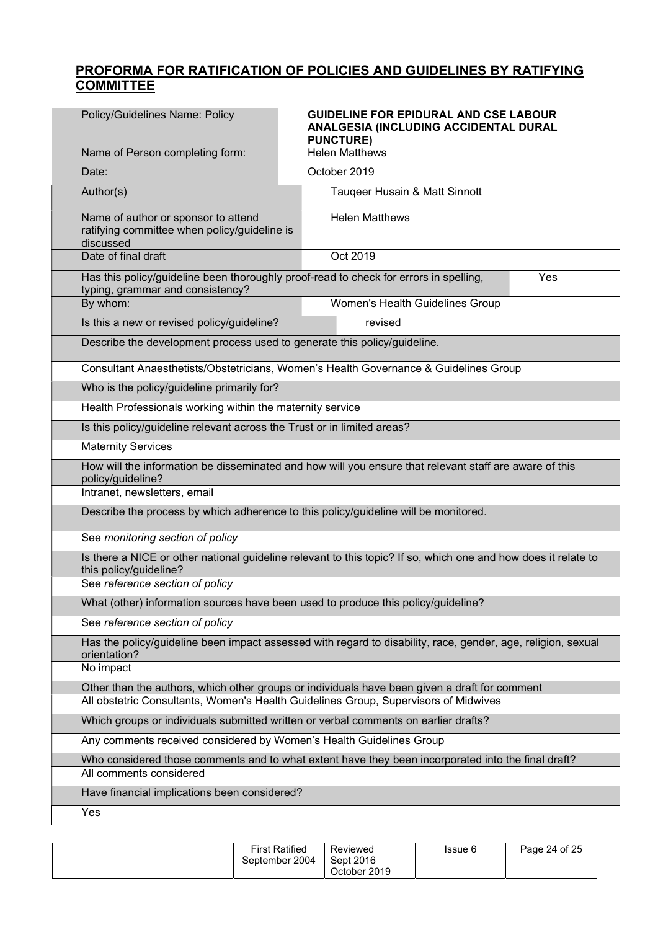## PROFORMA FOR RATIFICATION OF POLICIES AND GUIDELINES BY RATIFYING COMMITTEE

| Policy/Guidelines Name: Policy                                                                                               | <b>GUIDELINE FOR EPIDURAL AND CSE LABOUR</b><br>ANALGESIA (INCLUDING ACCIDENTAL DURAL<br><b>PUNCTURE)</b>      |  |  |  |  |
|------------------------------------------------------------------------------------------------------------------------------|----------------------------------------------------------------------------------------------------------------|--|--|--|--|
| Name of Person completing form:                                                                                              | <b>Helen Matthews</b>                                                                                          |  |  |  |  |
| Date:                                                                                                                        | October 2019                                                                                                   |  |  |  |  |
| Author(s)                                                                                                                    | Tauqeer Husain & Matt Sinnott                                                                                  |  |  |  |  |
| Name of author or sponsor to attend<br>ratifying committee when policy/guideline is<br>discussed                             | <b>Helen Matthews</b>                                                                                          |  |  |  |  |
| Date of final draft                                                                                                          | Oct 2019                                                                                                       |  |  |  |  |
| typing, grammar and consistency?                                                                                             | Has this policy/guideline been thoroughly proof-read to check for errors in spelling,<br>Yes                   |  |  |  |  |
| By whom:                                                                                                                     | Women's Health Guidelines Group                                                                                |  |  |  |  |
| Is this a new or revised policy/guideline?                                                                                   | revised                                                                                                        |  |  |  |  |
| Describe the development process used to generate this policy/guideline.                                                     |                                                                                                                |  |  |  |  |
|                                                                                                                              | Consultant Anaesthetists/Obstetricians, Women's Health Governance & Guidelines Group                           |  |  |  |  |
| Who is the policy/guideline primarily for?                                                                                   |                                                                                                                |  |  |  |  |
| Health Professionals working within the maternity service                                                                    |                                                                                                                |  |  |  |  |
| Is this policy/guideline relevant across the Trust or in limited areas?                                                      |                                                                                                                |  |  |  |  |
| <b>Maternity Services</b>                                                                                                    |                                                                                                                |  |  |  |  |
| How will the information be disseminated and how will you ensure that relevant staff are aware of this<br>policy/guideline?  |                                                                                                                |  |  |  |  |
| Intranet, newsletters, email                                                                                                 |                                                                                                                |  |  |  |  |
| Describe the process by which adherence to this policy/guideline will be monitored.                                          |                                                                                                                |  |  |  |  |
| See monitoring section of policy                                                                                             |                                                                                                                |  |  |  |  |
| this policy/guideline?                                                                                                       | Is there a NICE or other national guideline relevant to this topic? If so, which one and how does it relate to |  |  |  |  |
| See reference section of policy                                                                                              |                                                                                                                |  |  |  |  |
|                                                                                                                              | What (other) information sources have been used to produce this policy/guideline?                              |  |  |  |  |
| See reference section of policy                                                                                              |                                                                                                                |  |  |  |  |
| Has the policy/guideline been impact assessed with regard to disability, race, gender, age, religion, sexual<br>orientation? |                                                                                                                |  |  |  |  |
| No impact                                                                                                                    |                                                                                                                |  |  |  |  |
| Other than the authors, which other groups or individuals have been given a draft for comment                                |                                                                                                                |  |  |  |  |
| All obstetric Consultants, Women's Health Guidelines Group, Supervisors of Midwives                                          |                                                                                                                |  |  |  |  |
| Which groups or individuals submitted written or verbal comments on earlier drafts?                                          |                                                                                                                |  |  |  |  |
| Any comments received considered by Women's Health Guidelines Group                                                          |                                                                                                                |  |  |  |  |
| All comments considered                                                                                                      | Who considered those comments and to what extent have they been incorporated into the final draft?             |  |  |  |  |
| Have financial implications been considered?                                                                                 |                                                                                                                |  |  |  |  |
|                                                                                                                              |                                                                                                                |  |  |  |  |
| Yes                                                                                                                          |                                                                                                                |  |  |  |  |

|  | <b>First Ratified</b><br>September 2004 | Reviewed<br>Sept 2016<br>October 2019 | Issue 6 | Page 24 of 25 |
|--|-----------------------------------------|---------------------------------------|---------|---------------|
|--|-----------------------------------------|---------------------------------------|---------|---------------|